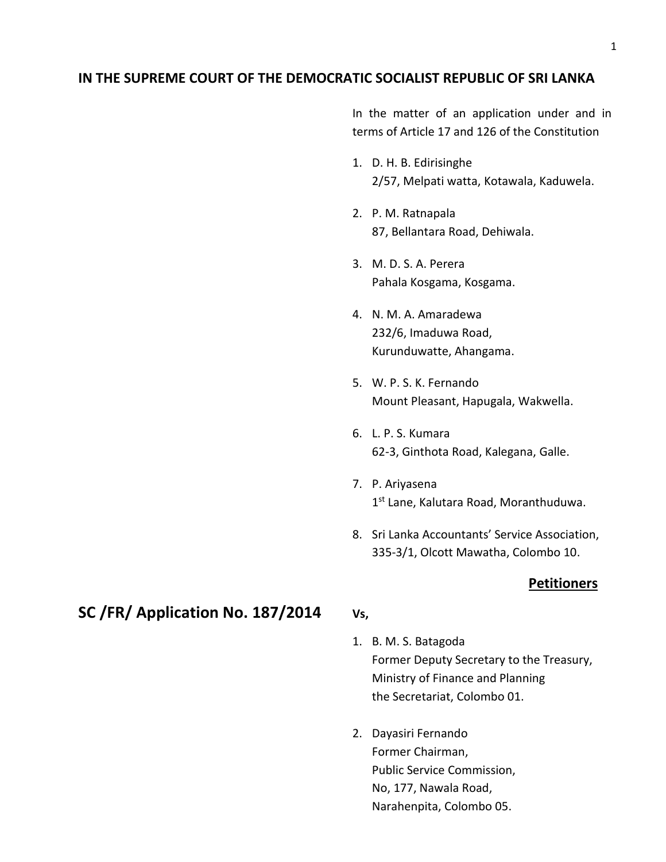### **IN THE SUPREME COURT OF THE DEMOCRATIC SOCIALIST REPUBLIC OF SRI LANKA**

In the matter of an application under and in terms of Article 17 and 126 of the Constitution

- 1. D. H. B. Edirisinghe 2/57, Melpati watta, Kotawala, Kaduwela.
- 2. P. M. Ratnapala 87, Bellantara Road, Dehiwala.
- 3. M. D. S. A. Perera Pahala Kosgama, Kosgama.
- 4. N. M. A. Amaradewa 232/6, Imaduwa Road, Kurunduwatte, Ahangama.
- 5. W. P. S. K. Fernando Mount Pleasant, Hapugala, Wakwella.
- 6. L. P. S. Kumara 62-3, Ginthota Road, Kalegana, Galle.
- 7. P. Ariyasena 1<sup>st</sup> Lane, Kalutara Road, Moranthuduwa.
- 8. Sri Lanka Accountants' Service Association, 335-3/1, Olcott Mawatha, Colombo 10.

### **Petitioners**

## **SC /FR/ Application No. 187/2014 Vs,**

- 1. B. M. S. Batagoda Former Deputy Secretary to the Treasury, Ministry of Finance and Planning the Secretariat, Colombo 01.
- 2. Dayasiri Fernando Former Chairman, Public Service Commission, No, 177, Nawala Road, Narahenpita, Colombo 05.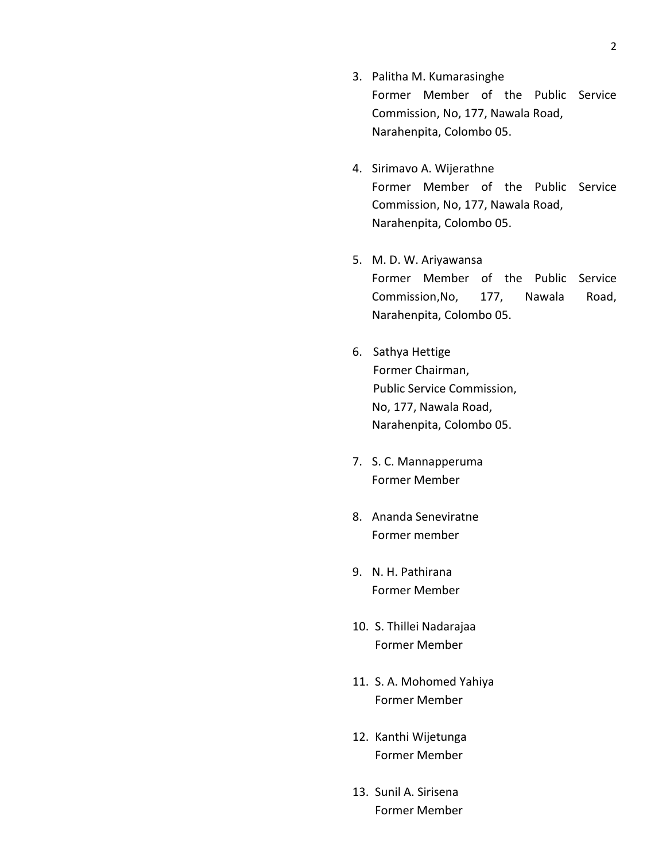- 3. Palitha M. Kumarasinghe Former Member of the Public Service Commission, No, 177, Nawala Road, Narahenpita, Colombo 05.
- 4. Sirimavo A. Wijerathne Former Member of the Public Service Commission, No, 177, Nawala Road, Narahenpita, Colombo 05.
- 5. M. D. W. Ariyawansa Former Member of the Public Service Commission,No, 177, Nawala Road, Narahenpita, Colombo 05.
- 6. Sathya Hettige Former Chairman, Public Service Commission, No, 177, Nawala Road, Narahenpita, Colombo 05.
- 7. S. C. Mannapperuma Former Member
- 8. Ananda Seneviratne Former member
- 9. N. H. Pathirana Former Member
- 10. S. Thillei Nadarajaa Former Member
- 11. S. A. Mohomed Yahiya Former Member
- 12. Kanthi Wijetunga Former Member
- 13. Sunil A. Sirisena Former Member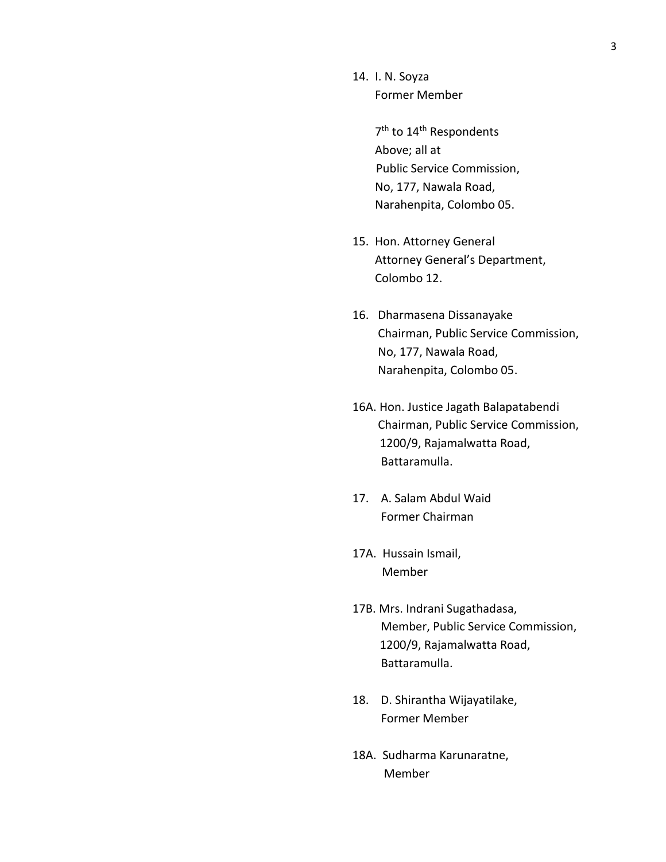14. I. N. Soyza Former Member

> 7<sup>th</sup> to 14<sup>th</sup> Respondents Above; all at Public Service Commission, No, 177, Nawala Road, Narahenpita, Colombo 05.

- 15. Hon. Attorney General Attorney General's Department, Colombo 12.
- 16. Dharmasena Dissanayake Chairman, Public Service Commission, No, 177, Nawala Road, Narahenpita, Colombo 05.
- 16A. Hon. Justice Jagath Balapatabendi Chairman, Public Service Commission, 1200/9, Rajamalwatta Road, Battaramulla.
- 17. A. Salam Abdul Waid Former Chairman
- 17A. Hussain Ismail, Member
- 17B. Mrs. Indrani Sugathadasa, Member, Public Service Commission, 1200/9, Rajamalwatta Road, Battaramulla.
- 18. D. Shirantha Wijayatilake, Former Member
- 18A. Sudharma Karunaratne, Member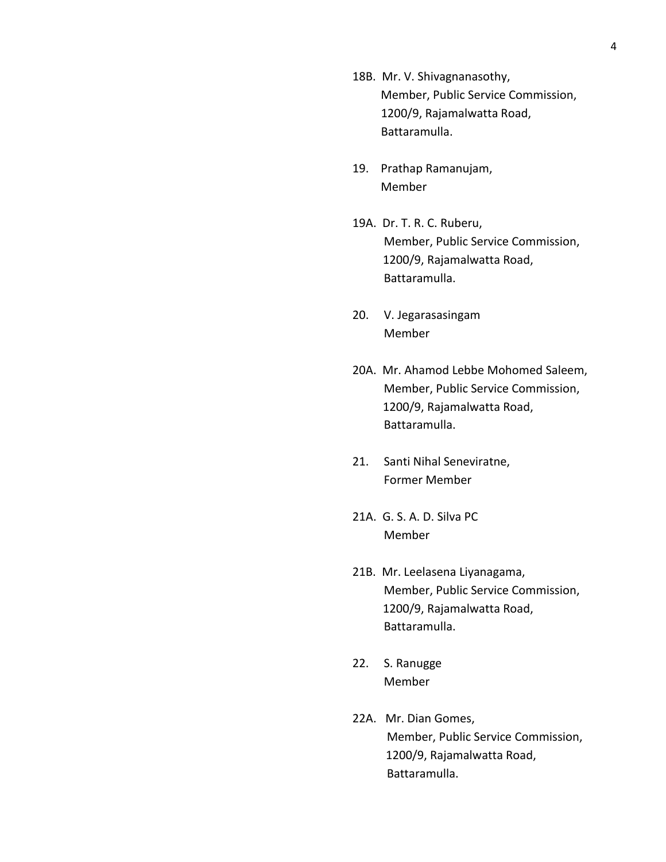- 18B. Mr. V. Shivagnanasothy, Member, Public Service Commission, 1200/9, Rajamalwatta Road, Battaramulla.
- 19. Prathap Ramanujam, Member
- 19A. Dr. T. R. C. Ruberu, Member, Public Service Commission, 1200/9, Rajamalwatta Road, Battaramulla.
- 20. V. Jegarasasingam Member
- 20A. Mr. Ahamod Lebbe Mohomed Saleem, Member, Public Service Commission, 1200/9, Rajamalwatta Road, Battaramulla.
- 21. Santi Nihal Seneviratne, Former Member
- 21A. G. S. A. D. Silva PC Member
- 21B. Mr. Leelasena Liyanagama, Member, Public Service Commission, 1200/9, Rajamalwatta Road, Battaramulla.
- 22. S. Ranugge Member
- 22A. Mr. Dian Gomes, Member, Public Service Commission, 1200/9, Rajamalwatta Road, Battaramulla.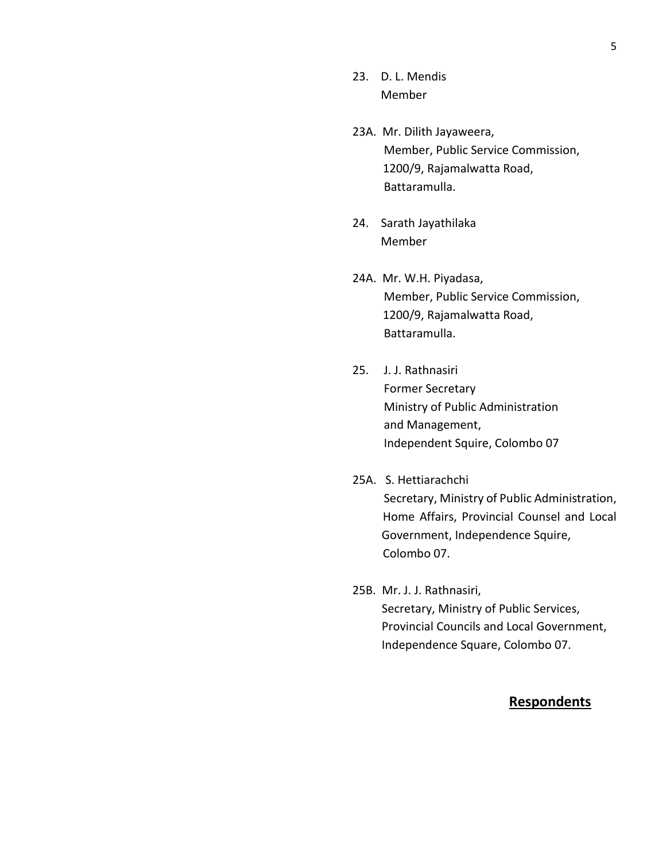- 23. D. L. Mendis Member
- 23A. Mr. Dilith Jayaweera, Member, Public Service Commission, 1200/9, Rajamalwatta Road, Battaramulla.
- 24. Sarath Jayathilaka Member
- 24A. Mr. W.H. Piyadasa, Member, Public Service Commission, 1200/9, Rajamalwatta Road, Battaramulla.
- 25. J. J. Rathnasiri Former Secretary Ministry of Public Administration and Management, Independent Squire, Colombo 07
- 25A. S. Hettiarachchi Secretary, Ministry of Public Administration, Home Affairs, Provincial Counsel and Local Government, Independence Squire, Colombo 07.
- 25B. Mr. J. J. Rathnasiri, Secretary, Ministry of Public Services, Provincial Councils and Local Government, Independence Square, Colombo 07.

### **Respondents**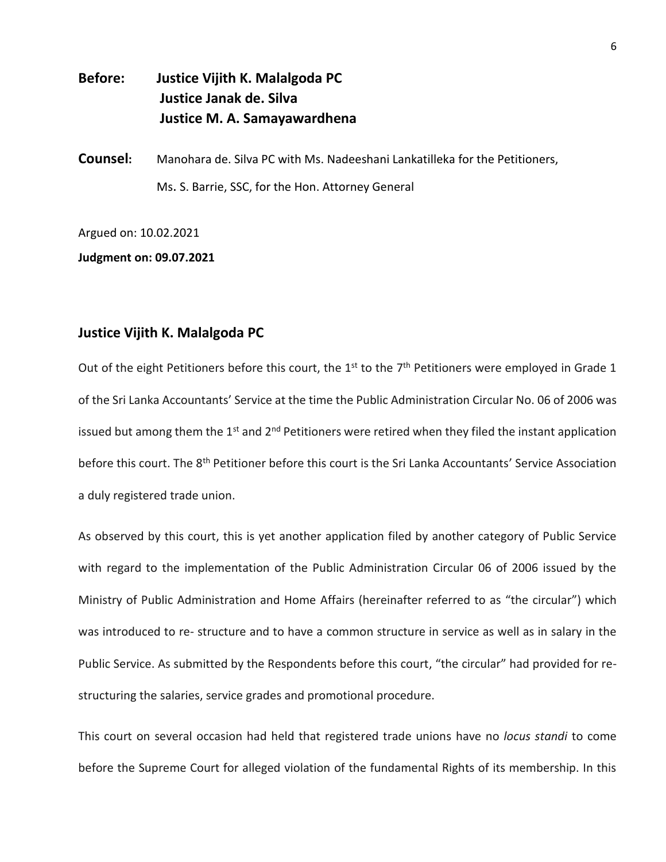# **Before: Justice Vijith K. Malalgoda PC Justice Janak de. Silva Justice M. A. Samayawardhena**

**Counsel:** Manohara de. Silva PC with Ms. Nadeeshani Lankatilleka for the Petitioners, Ms. S. Barrie, SSC, for the Hon. Attorney General

Argued on: 10.02.2021

**Judgment on: 09.07.2021**

### **Justice Vijith K. Malalgoda PC**

Out of the eight Petitioners before this court, the 1<sup>st</sup> to the 7<sup>th</sup> Petitioners were employed in Grade 1 of the Sri Lanka Accountants' Service at the time the Public Administration Circular No. 06 of 2006 was issued but among them the  $1^{st}$  and  $2^{nd}$  Petitioners were retired when they filed the instant application before this court. The 8<sup>th</sup> Petitioner before this court is the Sri Lanka Accountants' Service Association a duly registered trade union.

As observed by this court, this is yet another application filed by another category of Public Service with regard to the implementation of the Public Administration Circular 06 of 2006 issued by the Ministry of Public Administration and Home Affairs (hereinafter referred to as "the circular") which was introduced to re- structure and to have a common structure in service as well as in salary in the Public Service. As submitted by the Respondents before this court, "the circular" had provided for restructuring the salaries, service grades and promotional procedure.

This court on several occasion had held that registered trade unions have no *locus standi* to come before the Supreme Court for alleged violation of the fundamental Rights of its membership. In this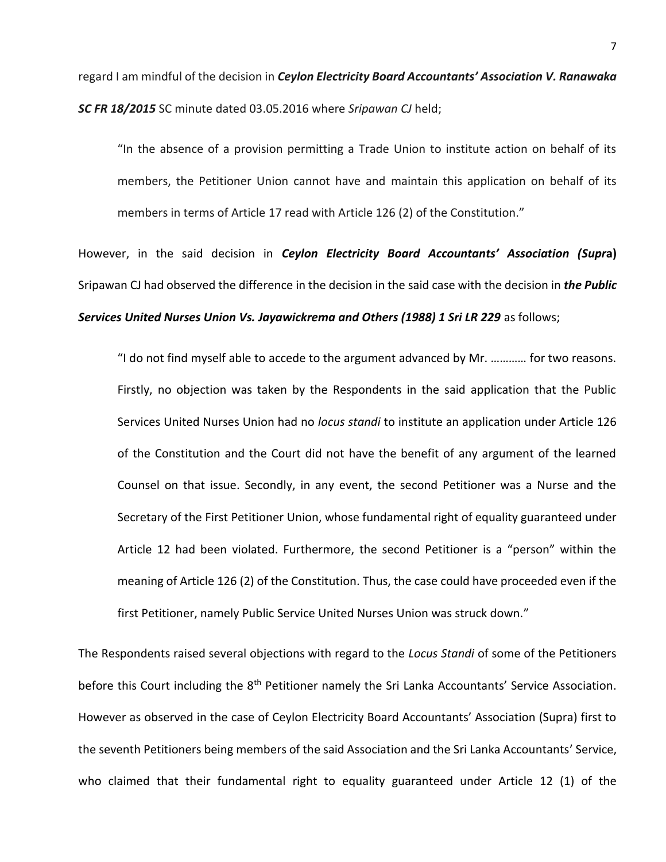regard I am mindful of the decision in *Ceylon Electricity Board Accountants' Association V. Ranawaka SC FR 18/2015* SC minute dated 03.05.2016 where *Sripawan CJ* held;

"In the absence of a provision permitting a Trade Union to institute action on behalf of its members, the Petitioner Union cannot have and maintain this application on behalf of its members in terms of Article 17 read with Article 126 (2) of the Constitution."

However, in the said decision in *Ceylon Electricity Board Accountants' Association (Supr***a)** Sripawan CJ had observed the difference in the decision in the said case with the decision in *the Public*  Services United Nurses Union Vs. Jayawickrema and Others (1988) 1 Sri LR 229 as follows;

"I do not find myself able to accede to the argument advanced by Mr. ………… for two reasons. Firstly, no objection was taken by the Respondents in the said application that the Public Services United Nurses Union had no *locus standi* to institute an application under Article 126 of the Constitution and the Court did not have the benefit of any argument of the learned Counsel on that issue. Secondly, in any event, the second Petitioner was a Nurse and the Secretary of the First Petitioner Union, whose fundamental right of equality guaranteed under Article 12 had been violated. Furthermore, the second Petitioner is a "person" within the meaning of Article 126 (2) of the Constitution. Thus, the case could have proceeded even if the first Petitioner, namely Public Service United Nurses Union was struck down."

The Respondents raised several objections with regard to the *Locus Standi* of some of the Petitioners before this Court including the 8<sup>th</sup> Petitioner namely the Sri Lanka Accountants' Service Association. However as observed in the case of Ceylon Electricity Board Accountants' Association (Supra) first to the seventh Petitioners being members of the said Association and the Sri Lanka Accountants' Service, who claimed that their fundamental right to equality guaranteed under Article 12 (1) of the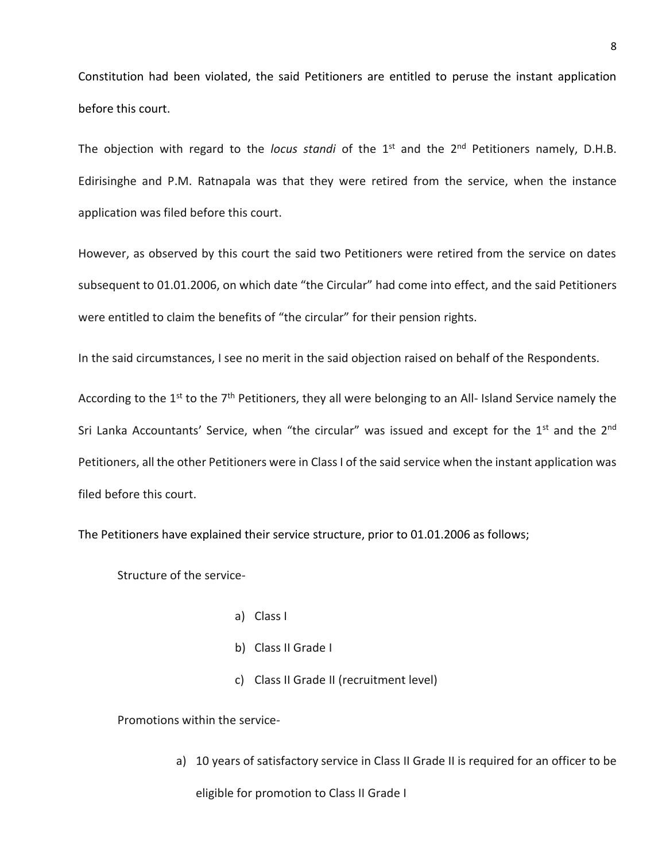Constitution had been violated, the said Petitioners are entitled to peruse the instant application before this court.

The objection with regard to the *locus standi* of the 1<sup>st</sup> and the 2<sup>nd</sup> Petitioners namely, D.H.B. Edirisinghe and P.M. Ratnapala was that they were retired from the service, when the instance application was filed before this court.

However, as observed by this court the said two Petitioners were retired from the service on dates subsequent to 01.01.2006, on which date "the Circular" had come into effect, and the said Petitioners were entitled to claim the benefits of "the circular" for their pension rights.

In the said circumstances, I see no merit in the said objection raised on behalf of the Respondents.

According to the  $1^{st}$  to the  $7^{th}$  Petitioners, they all were belonging to an All- Island Service namely the Sri Lanka Accountants' Service, when "the circular" was issued and except for the  $1^\text{st}$  and the  $2^\text{nd}$ Petitioners, all the other Petitioners were in Class I of the said service when the instant application was filed before this court.

The Petitioners have explained their service structure, prior to 01.01.2006 as follows;

Structure of the service-

- a) Class I
- b) Class II Grade I
- c) Class II Grade II (recruitment level)

Promotions within the service-

a) 10 years of satisfactory service in Class II Grade II is required for an officer to be

eligible for promotion to Class II Grade I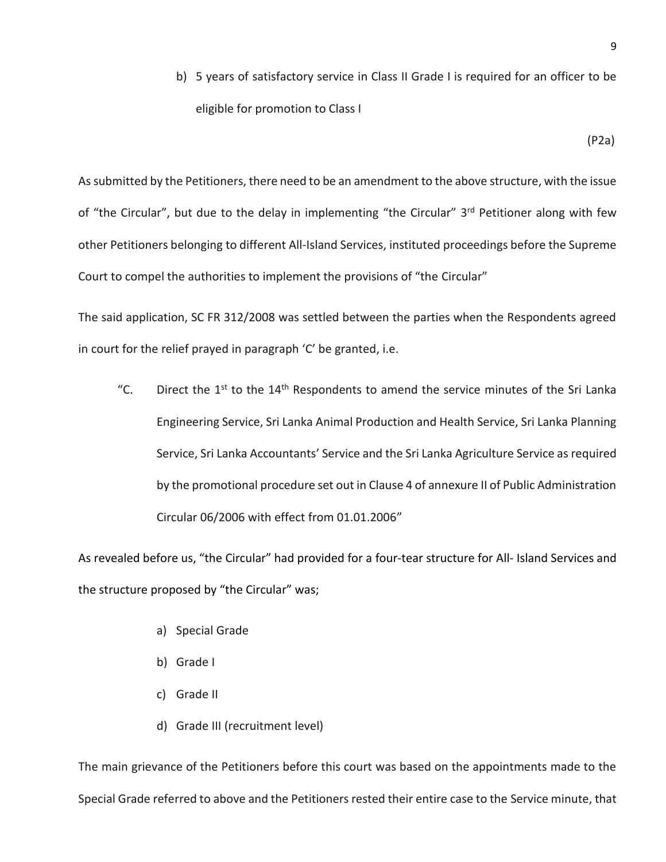b) 5 years of satisfactory service in Class II Grade I is required for an officer to be eligible for promotion to Class I

(P2a)

As submitted by the Petitioners, there need to be an amendment to the above structure, with the issue of "the Circular", but due to the delay in implementing "the Circular" 3<sup>rd</sup> Petitioner along with few other Petitioners belonging to different All-Island Services, instituted proceedings before the Supreme Court to compel the authorities to implement the provisions of "the Circular"

The said application, SC FR 312/2008 was settled between the parties when the Respondents agreed in court for the relief prayed in paragraph 'C' be granted, i.e.

"C. Direct the  $1^{st}$  to the  $14^{th}$  Respondents to amend the service minutes of the Sri Lanka Engineering Service, Sri Lanka Animal Production and Health Service, Sri Lanka Planning Service, Sri Lanka Accountants' Service and the Sri Lanka Agriculture Service as required by the promotional procedure set out in Clause 4 of annexure II of Public Administration Circular 06/2006 with effect from 01.01.2006"

As revealed before us, "the Circular" had provided for a four-tear structure for All- Island Services and the structure proposed by "the Circular" was;

- a) Special Grade
- b) Grade I
- c) Grade II
- d) Grade III (recruitment level)

The main grievance of the Petitioners before this court was based on the appointments made to the Special Grade referred to above and the Petitioners rested their entire case to the Service minute, that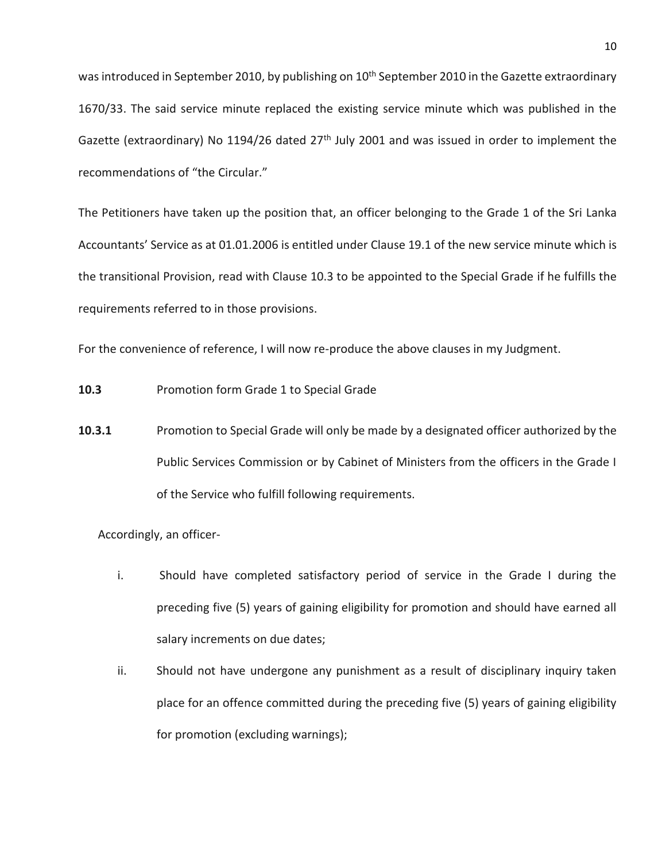was introduced in September 2010, by publishing on 10<sup>th</sup> September 2010 in the Gazette extraordinary 1670/33. The said service minute replaced the existing service minute which was published in the Gazette (extraordinary) No 1194/26 dated 27<sup>th</sup> July 2001 and was issued in order to implement the recommendations of "the Circular."

The Petitioners have taken up the position that, an officer belonging to the Grade 1 of the Sri Lanka Accountants' Service as at 01.01.2006 is entitled under Clause 19.1 of the new service minute which is the transitional Provision, read with Clause 10.3 to be appointed to the Special Grade if he fulfills the requirements referred to in those provisions.

For the convenience of reference, I will now re-produce the above clauses in my Judgment.

**10.3** Promotion form Grade 1 to Special Grade

**10.3.1** Promotion to Special Grade will only be made by a designated officer authorized by the Public Services Commission or by Cabinet of Ministers from the officers in the Grade I of the Service who fulfill following requirements.

Accordingly, an officer-

- i. Should have completed satisfactory period of service in the Grade I during the preceding five (5) years of gaining eligibility for promotion and should have earned all salary increments on due dates;
- ii. Should not have undergone any punishment as a result of disciplinary inquiry taken place for an offence committed during the preceding five (5) years of gaining eligibility for promotion (excluding warnings);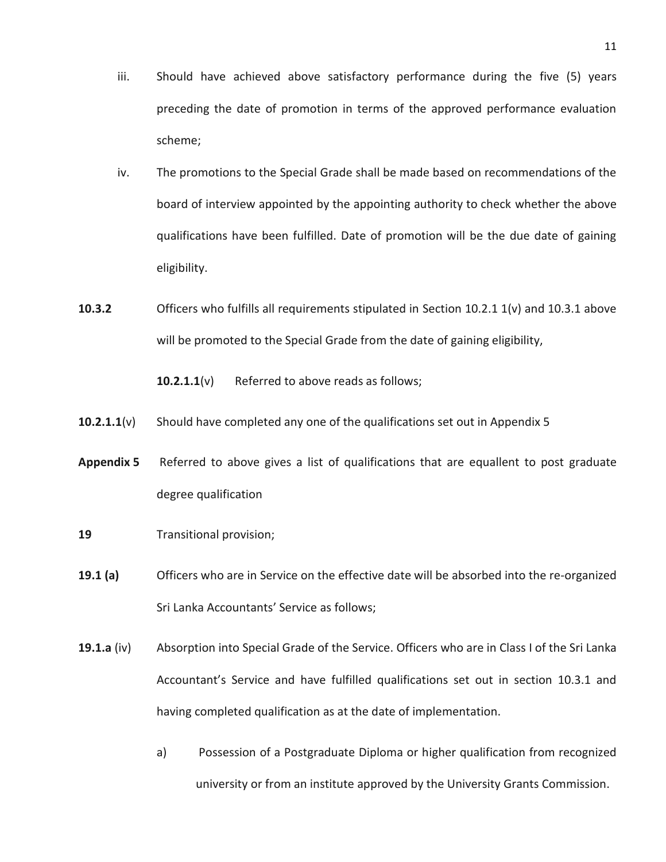- iii. Should have achieved above satisfactory performance during the five (5) years preceding the date of promotion in terms of the approved performance evaluation scheme;
- iv. The promotions to the Special Grade shall be made based on recommendations of the board of interview appointed by the appointing authority to check whether the above qualifications have been fulfilled. Date of promotion will be the due date of gaining eligibility.
- **10.3.2** Officers who fulfills all requirements stipulated in Section 10.2.1 1(v) and 10.3.1 above will be promoted to the Special Grade from the date of gaining eligibility,

**10.2.1.1**(v) Referred to above reads as follows;

- **10.2.1.1**(v) Should have completed any one of the qualifications set out in Appendix 5
- **Appendix 5** Referred to above gives a list of qualifications that are equallent to post graduate degree qualification
- **19** Transitional provision;
- **19.1 (a)** Officers who are in Service on the effective date will be absorbed into the re-organized Sri Lanka Accountants' Service as follows;
- **19.1.a** (iv) Absorption into Special Grade of the Service. Officers who are in Class I of the Sri Lanka Accountant's Service and have fulfilled qualifications set out in section 10.3.1 and having completed qualification as at the date of implementation.
	- a) Possession of a Postgraduate Diploma or higher qualification from recognized university or from an institute approved by the University Grants Commission.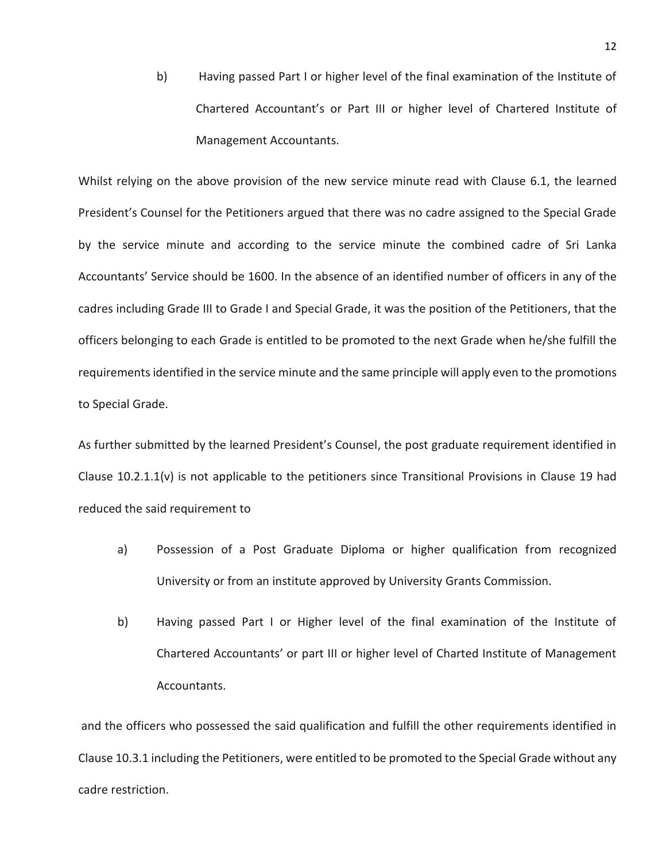b) Having passed Part I or higher level of the final examination of the Institute of Chartered Accountant's or Part III or higher level of Chartered Institute of Management Accountants.

Whilst relying on the above provision of the new service minute read with Clause 6.1, the learned President's Counsel for the Petitioners argued that there was no cadre assigned to the Special Grade by the service minute and according to the service minute the combined cadre of Sri Lanka Accountants' Service should be 1600. In the absence of an identified number of officers in any of the cadres including Grade III to Grade I and Special Grade, it was the position of the Petitioners, that the officers belonging to each Grade is entitled to be promoted to the next Grade when he/she fulfill the requirements identified in the service minute and the same principle will apply even to the promotions to Special Grade.

As further submitted by the learned President's Counsel, the post graduate requirement identified in Clause 10.2.1.1(v) is not applicable to the petitioners since Transitional Provisions in Clause 19 had reduced the said requirement to

- a) Possession of a Post Graduate Diploma or higher qualification from recognized University or from an institute approved by University Grants Commission.
- b) Having passed Part I or Higher level of the final examination of the Institute of Chartered Accountants' or part III or higher level of Charted Institute of Management Accountants.

and the officers who possessed the said qualification and fulfill the other requirements identified in Clause 10.3.1 including the Petitioners, were entitled to be promoted to the Special Grade without any cadre restriction.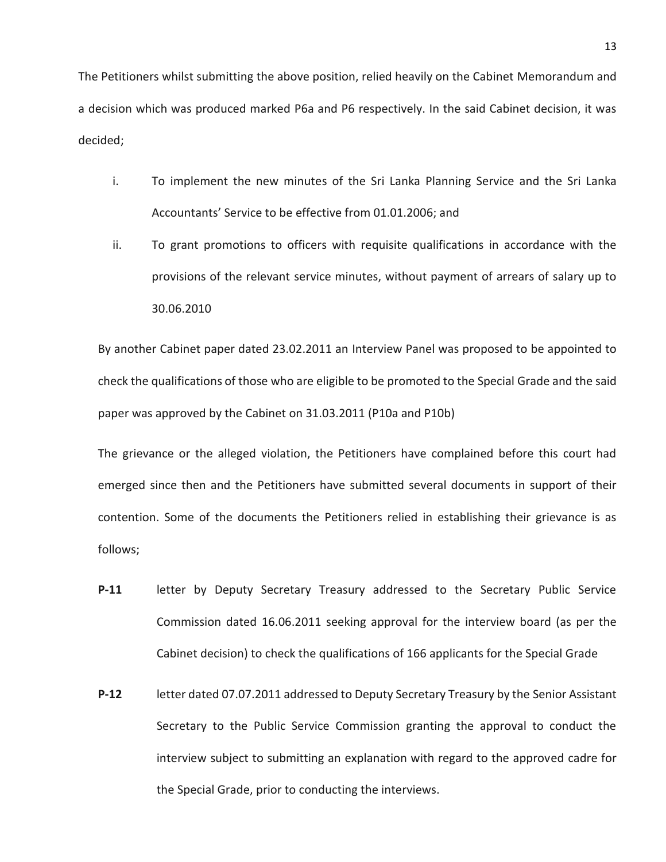The Petitioners whilst submitting the above position, relied heavily on the Cabinet Memorandum and a decision which was produced marked P6a and P6 respectively. In the said Cabinet decision, it was decided;

- i. To implement the new minutes of the Sri Lanka Planning Service and the Sri Lanka Accountants' Service to be effective from 01.01.2006; and
- ii. To grant promotions to officers with requisite qualifications in accordance with the provisions of the relevant service minutes, without payment of arrears of salary up to 30.06.2010

By another Cabinet paper dated 23.02.2011 an Interview Panel was proposed to be appointed to check the qualifications of those who are eligible to be promoted to the Special Grade and the said paper was approved by the Cabinet on 31.03.2011 (P10a and P10b)

The grievance or the alleged violation, the Petitioners have complained before this court had emerged since then and the Petitioners have submitted several documents in support of their contention. Some of the documents the Petitioners relied in establishing their grievance is as follows;

- **P-11** letter by Deputy Secretary Treasury addressed to the Secretary Public Service Commission dated 16.06.2011 seeking approval for the interview board (as per the Cabinet decision) to check the qualifications of 166 applicants for the Special Grade
- **P-12** letter dated 07.07.2011 addressed to Deputy Secretary Treasury by the Senior Assistant Secretary to the Public Service Commission granting the approval to conduct the interview subject to submitting an explanation with regard to the approved cadre for the Special Grade, prior to conducting the interviews.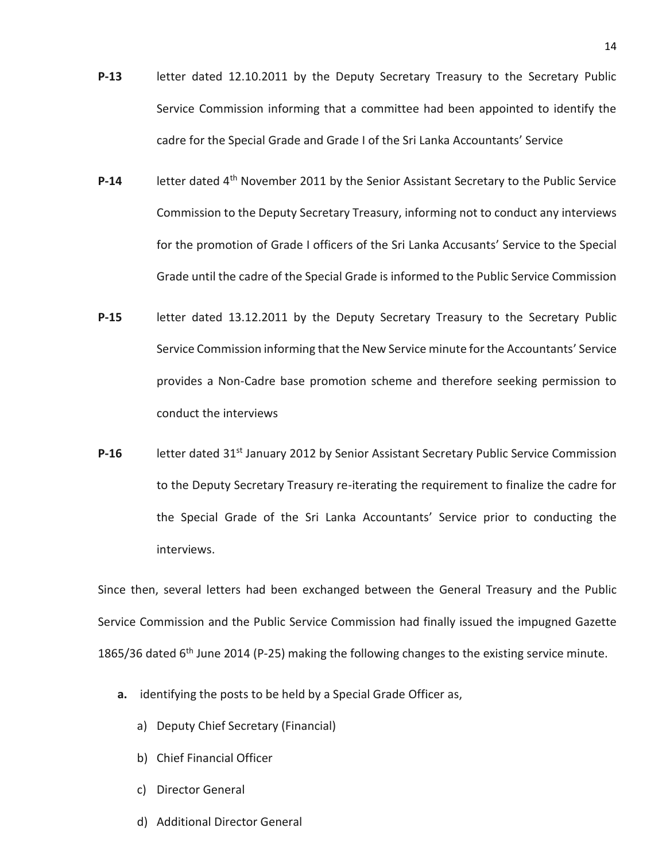- **P-13** letter dated 12.10.2011 by the Deputy Secretary Treasury to the Secretary Public Service Commission informing that a committee had been appointed to identify the cadre for the Special Grade and Grade I of the Sri Lanka Accountants' Service
- **P-14** letter dated 4th November 2011 by the Senior Assistant Secretary to the Public Service Commission to the Deputy Secretary Treasury, informing not to conduct any interviews for the promotion of Grade I officers of the Sri Lanka Accusants' Service to the Special Grade until the cadre of the Special Grade is informed to the Public Service Commission
- **P-15** letter dated 13.12.2011 by the Deputy Secretary Treasury to the Secretary Public Service Commission informing that the New Service minute for the Accountants' Service provides a Non-Cadre base promotion scheme and therefore seeking permission to conduct the interviews
- **P-16** letter dated 31<sup>st</sup> January 2012 by Senior Assistant Secretary Public Service Commission to the Deputy Secretary Treasury re-iterating the requirement to finalize the cadre for the Special Grade of the Sri Lanka Accountants' Service prior to conducting the interviews.

Since then, several letters had been exchanged between the General Treasury and the Public Service Commission and the Public Service Commission had finally issued the impugned Gazette 1865/36 dated 6<sup>th</sup> June 2014 (P-25) making the following changes to the existing service minute.

- **a.** identifying the posts to be held by a Special Grade Officer as,
	- a) Deputy Chief Secretary (Financial)
	- b) Chief Financial Officer
	- c) Director General
	- d) Additional Director General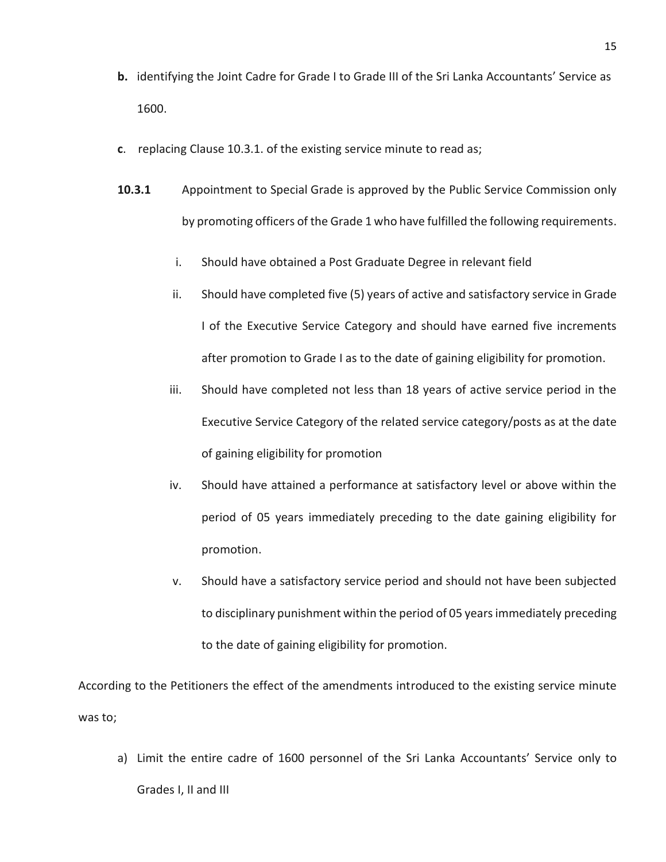- **b.** identifying the Joint Cadre for Grade I to Grade III of the Sri Lanka Accountants' Service as 1600.
- **c**. replacing Clause 10.3.1. of the existing service minute to read as;
- **10.3.1** Appointment to Special Grade is approved by the Public Service Commission only by promoting officers of the Grade 1 who have fulfilled the following requirements.
	- i. Should have obtained a Post Graduate Degree in relevant field
	- ii. Should have completed five (5) years of active and satisfactory service in Grade I of the Executive Service Category and should have earned five increments after promotion to Grade I as to the date of gaining eligibility for promotion.
	- iii. Should have completed not less than 18 years of active service period in the Executive Service Category of the related service category/posts as at the date of gaining eligibility for promotion
	- iv. Should have attained a performance at satisfactory level or above within the period of 05 years immediately preceding to the date gaining eligibility for promotion.
	- v. Should have a satisfactory service period and should not have been subjected to disciplinary punishment within the period of 05 years immediately preceding to the date of gaining eligibility for promotion.

According to the Petitioners the effect of the amendments introduced to the existing service minute was to;

a) Limit the entire cadre of 1600 personnel of the Sri Lanka Accountants' Service only to Grades I, II and III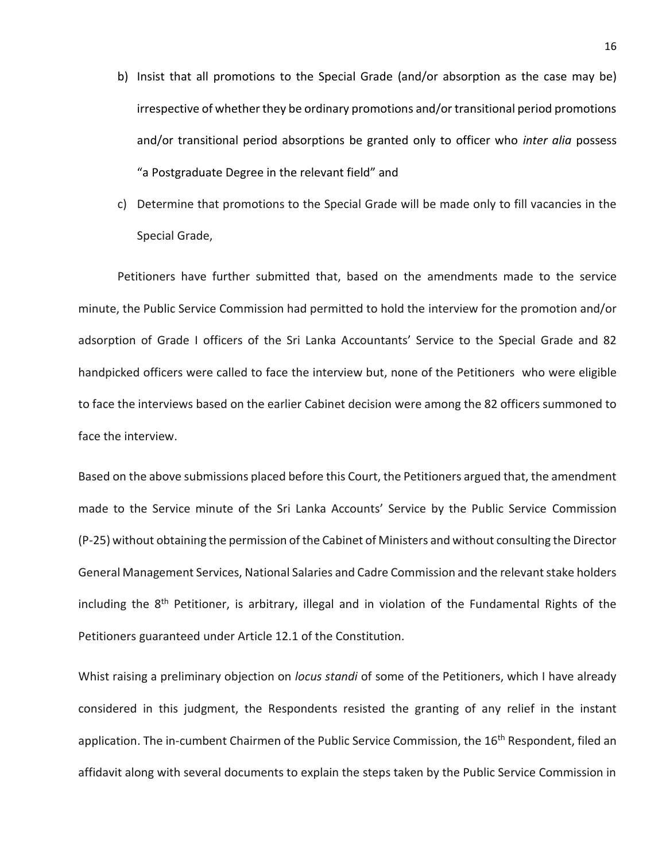- b) Insist that all promotions to the Special Grade (and/or absorption as the case may be) irrespective of whether they be ordinary promotions and/or transitional period promotions and/or transitional period absorptions be granted only to officer who *inter alia* possess "a Postgraduate Degree in the relevant field" and
- c) Determine that promotions to the Special Grade will be made only to fill vacancies in the Special Grade,

Petitioners have further submitted that, based on the amendments made to the service minute, the Public Service Commission had permitted to hold the interview for the promotion and/or adsorption of Grade I officers of the Sri Lanka Accountants' Service to the Special Grade and 82 handpicked officers were called to face the interview but, none of the Petitioners who were eligible to face the interviews based on the earlier Cabinet decision were among the 82 officers summoned to face the interview.

Based on the above submissions placed before this Court, the Petitioners argued that, the amendment made to the Service minute of the Sri Lanka Accounts' Service by the Public Service Commission (P-25) without obtaining the permission of the Cabinet of Ministers and without consulting the Director General Management Services, National Salaries and Cadre Commission and the relevant stake holders including the 8<sup>th</sup> Petitioner, is arbitrary, illegal and in violation of the Fundamental Rights of the Petitioners guaranteed under Article 12.1 of the Constitution.

Whist raising a preliminary objection on *locus standi* of some of the Petitioners, which I have already considered in this judgment, the Respondents resisted the granting of any relief in the instant application. The in-cumbent Chairmen of the Public Service Commission, the 16<sup>th</sup> Respondent, filed an affidavit along with several documents to explain the steps taken by the Public Service Commission in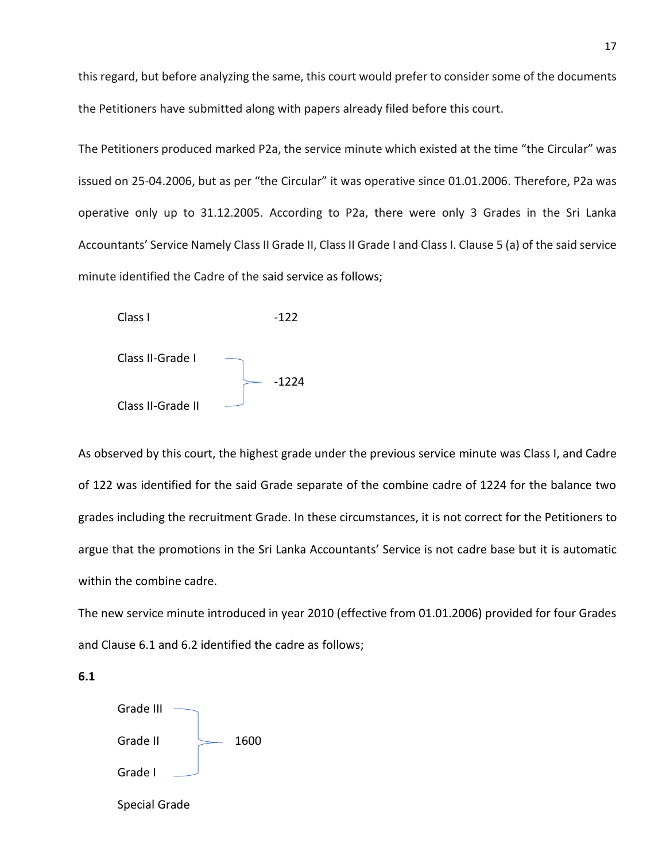this regard, but before analyzing the same, this court would prefer to consider some of the documents the Petitioners have submitted along with papers already filed before this court.

The Petitioners produced marked P2a, the service minute which existed at the time "the Circular" was issued on 25-04.2006, but as per "the Circular" it was operative since 01.01.2006. Therefore, P2a was operative only up to 31.12.2005. According to P2a, there were only 3 Grades in the Sri Lanka Accountants' Service Namely Class II Grade II, Class II Grade I and Class I. Clause 5 (a) of the said service minute identified the Cadre of the said service as follows;



As observed by this court, the highest grade under the previous service minute was Class I, and Cadre of 122 was identified for the said Grade separate of the combine cadre of 1224 for the balance two grades including the recruitment Grade. In these circumstances, it is not correct for the Petitioners to argue that the promotions in the Sri Lanka Accountants' Service is not cadre base but it is automatic within the combine cadre.

The new service minute introduced in year 2010 (effective from 01.01.2006) provided for four Grades and Clause 6.1 and 6.2 identified the cadre as follows;



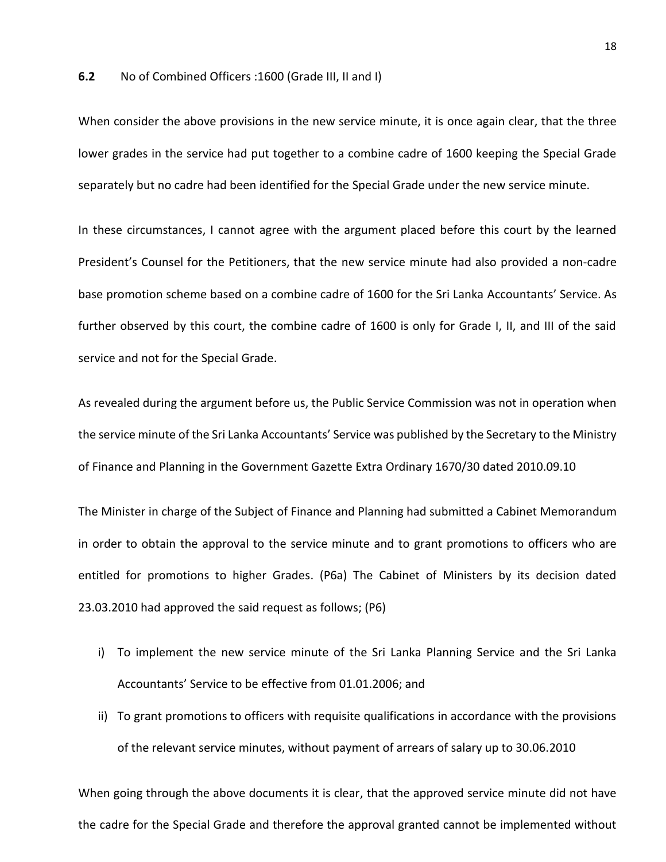When consider the above provisions in the new service minute, it is once again clear, that the three lower grades in the service had put together to a combine cadre of 1600 keeping the Special Grade separately but no cadre had been identified for the Special Grade under the new service minute.

In these circumstances, I cannot agree with the argument placed before this court by the learned President's Counsel for the Petitioners, that the new service minute had also provided a non-cadre base promotion scheme based on a combine cadre of 1600 for the Sri Lanka Accountants' Service. As further observed by this court, the combine cadre of 1600 is only for Grade I, II, and III of the said service and not for the Special Grade.

As revealed during the argument before us, the Public Service Commission was not in operation when the service minute of the Sri Lanka Accountants' Service was published by the Secretary to the Ministry of Finance and Planning in the Government Gazette Extra Ordinary 1670/30 dated 2010.09.10

The Minister in charge of the Subject of Finance and Planning had submitted a Cabinet Memorandum in order to obtain the approval to the service minute and to grant promotions to officers who are entitled for promotions to higher Grades. (P6a) The Cabinet of Ministers by its decision dated 23.03.2010 had approved the said request as follows; (P6)

- i) To implement the new service minute of the Sri Lanka Planning Service and the Sri Lanka Accountants' Service to be effective from 01.01.2006; and
- ii) To grant promotions to officers with requisite qualifications in accordance with the provisions of the relevant service minutes, without payment of arrears of salary up to 30.06.2010

When going through the above documents it is clear, that the approved service minute did not have the cadre for the Special Grade and therefore the approval granted cannot be implemented without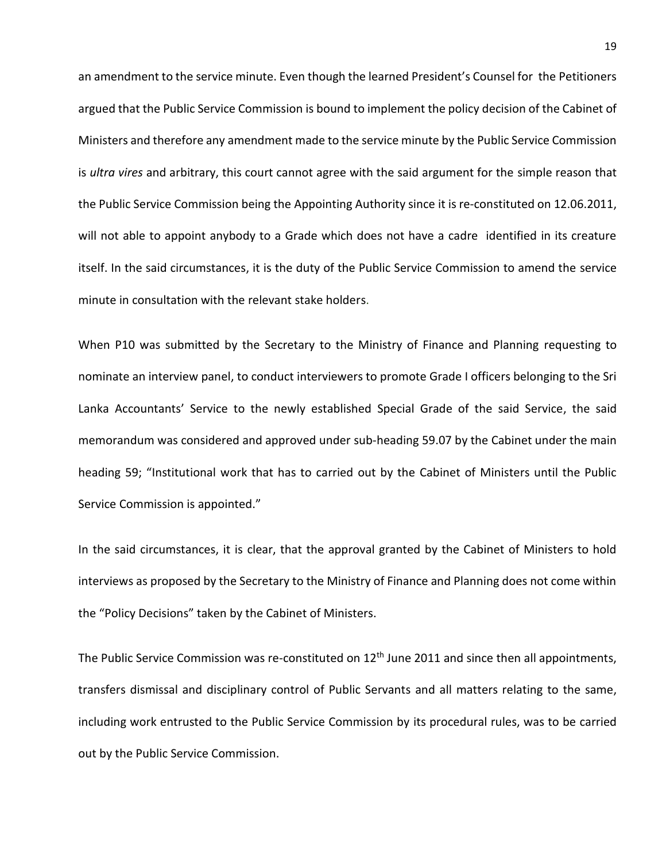an amendment to the service minute. Even though the learned President's Counsel for the Petitioners argued that the Public Service Commission is bound to implement the policy decision of the Cabinet of Ministers and therefore any amendment made to the service minute by the Public Service Commission is *ultra vires* and arbitrary, this court cannot agree with the said argument for the simple reason that the Public Service Commission being the Appointing Authority since it is re-constituted on 12.06.2011, will not able to appoint anybody to a Grade which does not have a cadre identified in its creature itself. In the said circumstances, it is the duty of the Public Service Commission to amend the service minute in consultation with the relevant stake holders.

When P10 was submitted by the Secretary to the Ministry of Finance and Planning requesting to nominate an interview panel, to conduct interviewers to promote Grade I officers belonging to the Sri Lanka Accountants' Service to the newly established Special Grade of the said Service, the said memorandum was considered and approved under sub-heading 59.07 by the Cabinet under the main heading 59; "Institutional work that has to carried out by the Cabinet of Ministers until the Public Service Commission is appointed."

In the said circumstances, it is clear, that the approval granted by the Cabinet of Ministers to hold interviews as proposed by the Secretary to the Ministry of Finance and Planning does not come within the "Policy Decisions" taken by the Cabinet of Ministers.

The Public Service Commission was re-constituted on 12<sup>th</sup> June 2011 and since then all appointments, transfers dismissal and disciplinary control of Public Servants and all matters relating to the same, including work entrusted to the Public Service Commission by its procedural rules, was to be carried out by the Public Service Commission.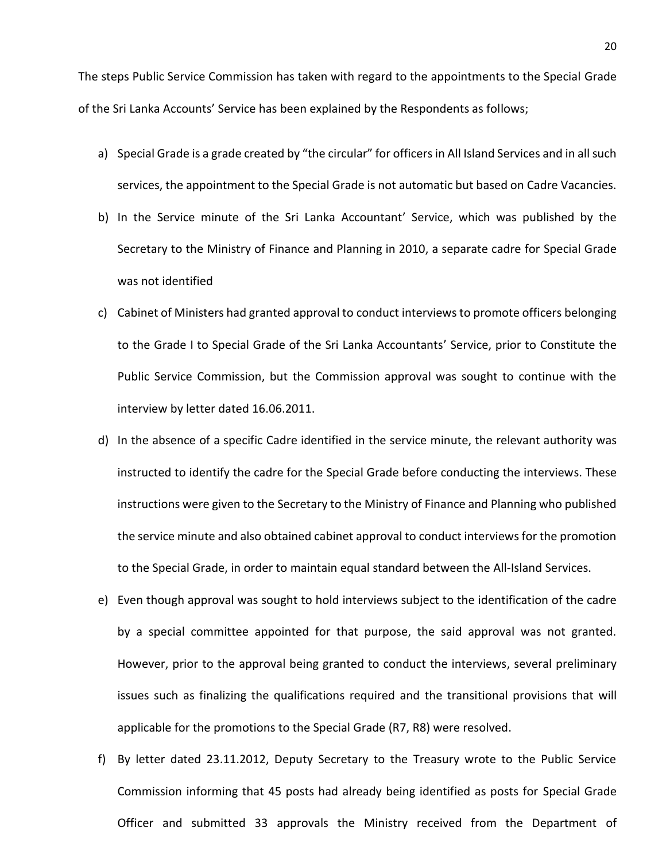The steps Public Service Commission has taken with regard to the appointments to the Special Grade of the Sri Lanka Accounts' Service has been explained by the Respondents as follows;

- a) Special Grade is a grade created by "the circular" for officers in All Island Services and in all such services, the appointment to the Special Grade is not automatic but based on Cadre Vacancies.
- b) In the Service minute of the Sri Lanka Accountant' Service, which was published by the Secretary to the Ministry of Finance and Planning in 2010, a separate cadre for Special Grade was not identified
- c) Cabinet of Ministers had granted approval to conduct interviews to promote officers belonging to the Grade I to Special Grade of the Sri Lanka Accountants' Service, prior to Constitute the Public Service Commission, but the Commission approval was sought to continue with the interview by letter dated 16.06.2011.
- d) In the absence of a specific Cadre identified in the service minute, the relevant authority was instructed to identify the cadre for the Special Grade before conducting the interviews. These instructions were given to the Secretary to the Ministry of Finance and Planning who published the service minute and also obtained cabinet approval to conduct interviews for the promotion to the Special Grade, in order to maintain equal standard between the All-Island Services.
- e) Even though approval was sought to hold interviews subject to the identification of the cadre by a special committee appointed for that purpose, the said approval was not granted. However, prior to the approval being granted to conduct the interviews, several preliminary issues such as finalizing the qualifications required and the transitional provisions that will applicable for the promotions to the Special Grade (R7, R8) were resolved.
- f) By letter dated 23.11.2012, Deputy Secretary to the Treasury wrote to the Public Service Commission informing that 45 posts had already being identified as posts for Special Grade Officer and submitted 33 approvals the Ministry received from the Department of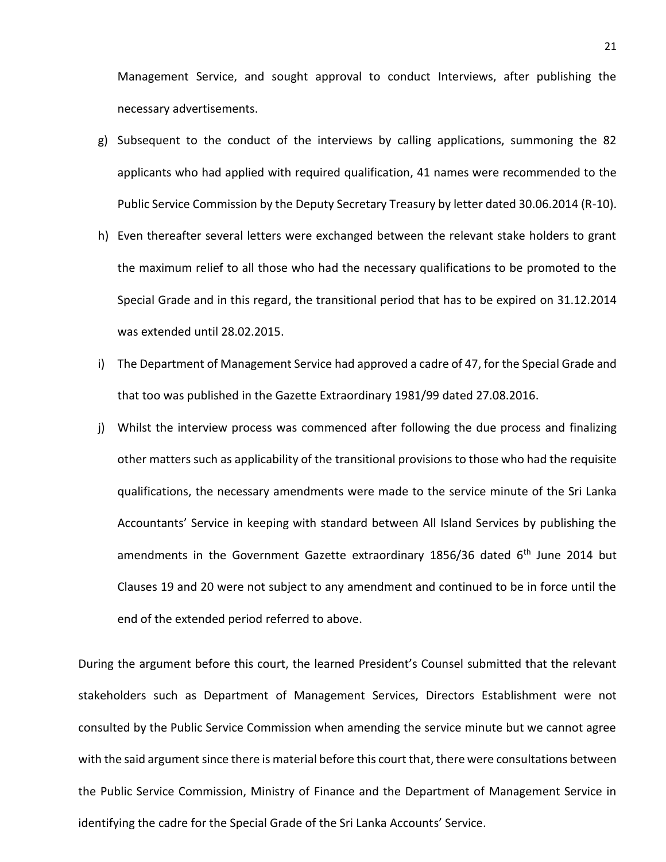Management Service, and sought approval to conduct Interviews, after publishing the necessary advertisements.

- g) Subsequent to the conduct of the interviews by calling applications, summoning the 82 applicants who had applied with required qualification, 41 names were recommended to the Public Service Commission by the Deputy Secretary Treasury by letter dated 30.06.2014 (R-10).
- h) Even thereafter several letters were exchanged between the relevant stake holders to grant the maximum relief to all those who had the necessary qualifications to be promoted to the Special Grade and in this regard, the transitional period that has to be expired on 31.12.2014 was extended until 28.02.2015.
- i) The Department of Management Service had approved a cadre of 47, for the Special Grade and that too was published in the Gazette Extraordinary 1981/99 dated 27.08.2016.
- j) Whilst the interview process was commenced after following the due process and finalizing other matters such as applicability of the transitional provisions to those who had the requisite qualifications, the necessary amendments were made to the service minute of the Sri Lanka Accountants' Service in keeping with standard between All Island Services by publishing the amendments in the Government Gazette extraordinary 1856/36 dated  $6<sup>th</sup>$  June 2014 but Clauses 19 and 20 were not subject to any amendment and continued to be in force until the end of the extended period referred to above.

During the argument before this court, the learned President's Counsel submitted that the relevant stakeholders such as Department of Management Services, Directors Establishment were not consulted by the Public Service Commission when amending the service minute but we cannot agree with the said argument since there is material before this court that, there were consultations between the Public Service Commission, Ministry of Finance and the Department of Management Service in identifying the cadre for the Special Grade of the Sri Lanka Accounts' Service.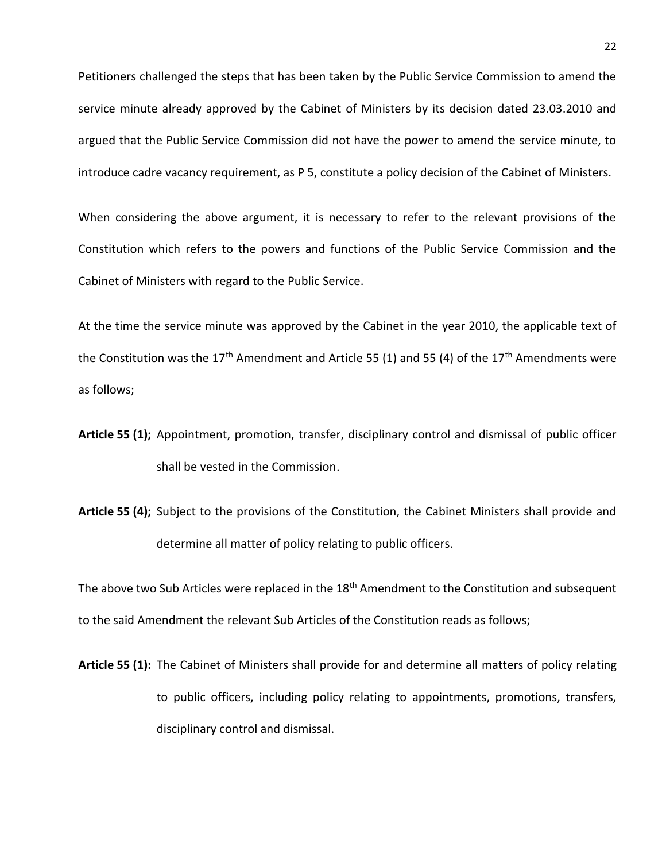Petitioners challenged the steps that has been taken by the Public Service Commission to amend the service minute already approved by the Cabinet of Ministers by its decision dated 23.03.2010 and argued that the Public Service Commission did not have the power to amend the service minute, to introduce cadre vacancy requirement, as P 5, constitute a policy decision of the Cabinet of Ministers.

When considering the above argument, it is necessary to refer to the relevant provisions of the Constitution which refers to the powers and functions of the Public Service Commission and the Cabinet of Ministers with regard to the Public Service.

At the time the service minute was approved by the Cabinet in the year 2010, the applicable text of the Constitution was the 17<sup>th</sup> Amendment and Article 55 (1) and 55 (4) of the 17<sup>th</sup> Amendments were as follows;

- **Article 55 (1);** Appointment, promotion, transfer, disciplinary control and dismissal of public officer shall be vested in the Commission.
- **Article 55 (4);** Subject to the provisions of the Constitution, the Cabinet Ministers shall provide and determine all matter of policy relating to public officers.

The above two Sub Articles were replaced in the 18<sup>th</sup> Amendment to the Constitution and subsequent to the said Amendment the relevant Sub Articles of the Constitution reads as follows;

**Article 55 (1):** The Cabinet of Ministers shall provide for and determine all matters of policy relating to public officers, including policy relating to appointments, promotions, transfers, disciplinary control and dismissal.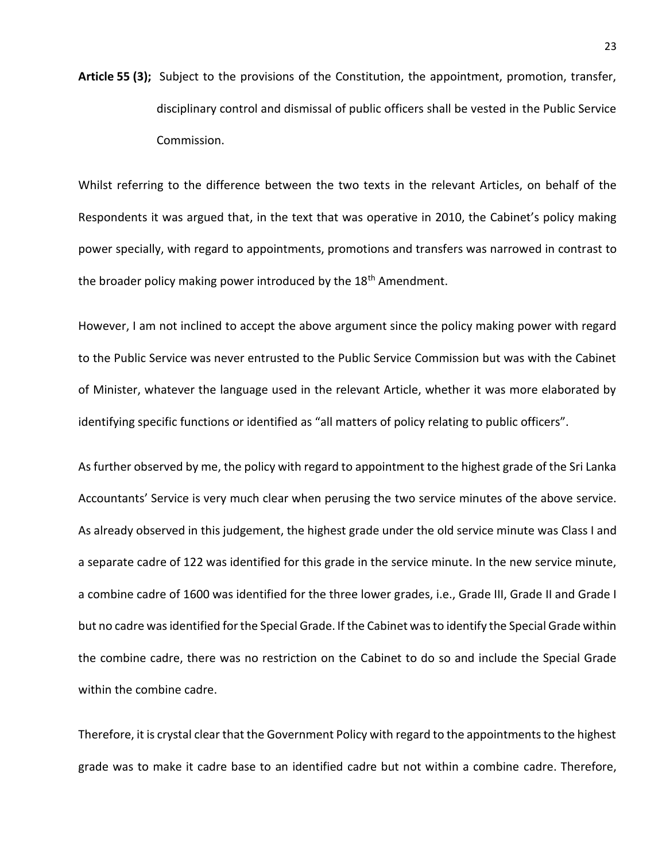**Article 55 (3);** Subject to the provisions of the Constitution, the appointment, promotion, transfer, disciplinary control and dismissal of public officers shall be vested in the Public Service Commission.

Whilst referring to the difference between the two texts in the relevant Articles, on behalf of the Respondents it was argued that, in the text that was operative in 2010, the Cabinet's policy making power specially, with regard to appointments, promotions and transfers was narrowed in contrast to the broader policy making power introduced by the 18<sup>th</sup> Amendment.

However, I am not inclined to accept the above argument since the policy making power with regard to the Public Service was never entrusted to the Public Service Commission but was with the Cabinet of Minister, whatever the language used in the relevant Article, whether it was more elaborated by identifying specific functions or identified as "all matters of policy relating to public officers".

As further observed by me, the policy with regard to appointment to the highest grade of the Sri Lanka Accountants' Service is very much clear when perusing the two service minutes of the above service. As already observed in this judgement, the highest grade under the old service minute was Class I and a separate cadre of 122 was identified for this grade in the service minute. In the new service minute, a combine cadre of 1600 was identified for the three lower grades, i.e., Grade III, Grade II and Grade I but no cadre was identified for the Special Grade. If the Cabinet was to identify the Special Grade within the combine cadre, there was no restriction on the Cabinet to do so and include the Special Grade within the combine cadre.

Therefore, it is crystal clear that the Government Policy with regard to the appointments to the highest grade was to make it cadre base to an identified cadre but not within a combine cadre. Therefore,